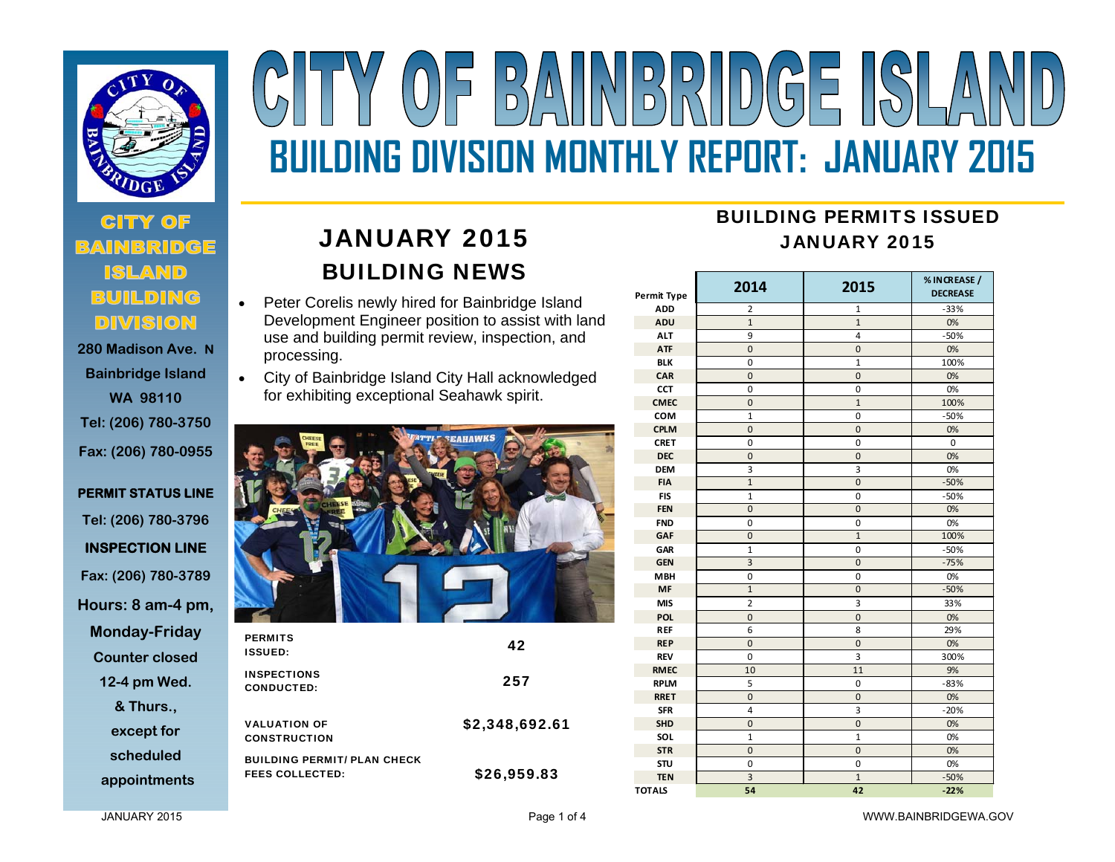

# **280 Madison Ave. N**

**Bainbridge Island WA 98110 Tel: (206) 780-3750 Fax: (206) 780-0955** 

**PERMIT STATUS LINE Tel: (206) 780-3796 INSPECTION LINE Fax: (206) 780-3789 Hours: 8 am-4 pm, Monday-Friday Counter closed 12-4 pm Wed. & Thurs., except for scheduled appointments**

# $\begin{array}{c}\nD \\
D\n\end{array}$ **BUILDING DIVISION MONTHLY REPORT: JANUARY 2015**

# JANUARY 2015 BUILDING NEWS

- $\bullet$  Peter Corelis newly hired for Bainbridge Island Development Engineer position to assist with land use and building permit review, inspection, and processing.
- City of Bainbridge Island City Hall acknowledged for exhibiting exceptional Seahawk spirit.



| <b>PERMITS</b><br><b>ISSUED:</b>                             | 42             |
|--------------------------------------------------------------|----------------|
| <b>INSPECTIONS</b><br><b>CONDUCTED:</b>                      | 257            |
| <b>VALUATION OF</b><br><b>CONSTRUCTION</b>                   | \$2,348,692.61 |
| <b>BUILDING PERMIT/ PLAN CHECK</b><br><b>FEES COLLECTED:</b> | \$26,959.83    |

## BUILDING PERMITS ISSUEDJANUARY 2015

| Permit Type   | 2014           | 2015           | % IN CREASE /<br><b>DECREASE</b> |  |
|---------------|----------------|----------------|----------------------------------|--|
| <b>ADD</b>    | 2              | 1              | $-33%$                           |  |
| ADU           | $\mathbf{1}$   | $\overline{1}$ | 0%                               |  |
| <b>ALT</b>    | 9              | 4              | $-50%$                           |  |
| <b>ATF</b>    | $\mathbf 0$    | 0              | 0%                               |  |
| <b>BLK</b>    | 0              | $\mathbf{1}$   | 100%                             |  |
| CAR           | $\mathbf 0$    | $\mathbf 0$    | 0%                               |  |
| CCT           | 0              | 0              | 0%                               |  |
| <b>CMEC</b>   | $\mathbf 0$    | $\overline{1}$ | 100%                             |  |
| COM           | $\mathbf{1}$   | 0              | $-50%$                           |  |
| <b>CPLM</b>   | $\mathbf 0$    | $\mathbf 0$    | 0%                               |  |
| <b>CRET</b>   | $\mathbf 0$    | 0              | 0                                |  |
| <b>DEC</b>    | $\mathbf 0$    | $\mathbf 0$    | 0%                               |  |
| <b>DEM</b>    | 3              | 3              | 0%                               |  |
| <b>FIA</b>    | $\mathbf{1}$   | 0              | $-50%$                           |  |
| <b>FIS</b>    | 1              | 0              | $-50%$                           |  |
| <b>FEN</b>    | $\mathbf 0$    | $\mathbf 0$    | 0%                               |  |
| <b>FND</b>    | 0              | 0              | 0%                               |  |
| GAF           | $\mathbf 0$    | $\mathbf{1}$   | 100%                             |  |
| GAR           | $\mathbf 1$    | 0              | $-50%$                           |  |
| <b>GEN</b>    | $\overline{3}$ | $\overline{0}$ | $-75%$                           |  |
| <b>MBH</b>    | 0              | 0              | 0%                               |  |
| MF            | $\mathbf{1}$   | $\mathbf 0$    | $-50%$                           |  |
| <b>MIS</b>    | $\overline{2}$ | 3              | 33%                              |  |
| POL           | $\mathbf 0$    | $\mathbf 0$    | 0%                               |  |
| <b>REF</b>    | 6              | 8              | 29%                              |  |
| <b>REP</b>    | $\mathbf 0$    | $\mathbf 0$    | 0%                               |  |
| <b>REV</b>    | 0              | 3              | 300%                             |  |
| <b>RMEC</b>   | 10             | 11             | 9%                               |  |
| <b>RPLM</b>   | 5              | 0              | $-83%$                           |  |
| <b>RRET</b>   | $\mathbf 0$    | 0              | 0%                               |  |
| <b>SFR</b>    | 4              | 3              | $-20%$                           |  |
| <b>SHD</b>    | $\mathbf 0$    | $\mathbf 0$    | 0%                               |  |
| SOL           | $\overline{1}$ | $\overline{1}$ | 0%                               |  |
| <b>STR</b>    | $\mathbf 0$    | $\mathbf 0$    | 0%                               |  |
| <b>STU</b>    | $\mathbf 0$    | $\mathbf 0$    | 0%                               |  |
| <b>TEN</b>    | 3              | $\mathbf{1}$   | $-50%$                           |  |
| <b>TOTALS</b> | 54             | 42             | $-22%$                           |  |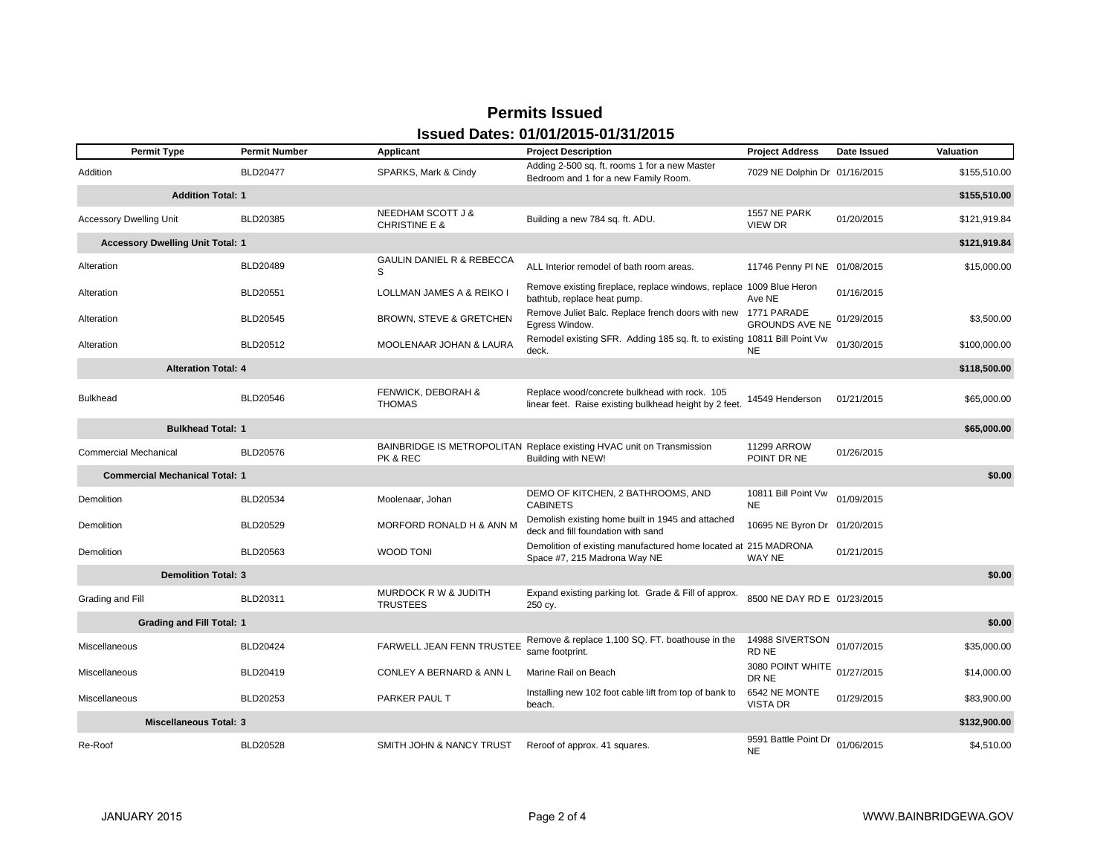### **Permits IssuedIssued Dates: 01/01/2015-01/31/2015**

| <b>Permit Type</b>                      | <b>Permit Number</b> | Applicant                                          | <b>Project Description</b>                                                                              | <b>Project Address</b>            | Date Issued | Valuation    |
|-----------------------------------------|----------------------|----------------------------------------------------|---------------------------------------------------------------------------------------------------------|-----------------------------------|-------------|--------------|
| Addition                                | <b>BLD20477</b>      | SPARKS, Mark & Cindy                               | Adding 2-500 sq. ft. rooms 1 for a new Master<br>Bedroom and 1 for a new Family Room.                   | 7029 NE Dolphin Dr 01/16/2015     |             | \$155,510.00 |
| <b>Addition Total: 1</b>                |                      |                                                    |                                                                                                         |                                   |             | \$155,510.00 |
| <b>Accessory Dwelling Unit</b>          | BLD20385             | NEEDHAM SCOTT J &<br><b>CHRISTINE E &amp;</b>      | Building a new 784 sq. ft. ADU.                                                                         | 1557 NE PARK<br><b>VIEW DR</b>    | 01/20/2015  | \$121,919.84 |
| <b>Accessory Dwelling Unit Total: 1</b> |                      |                                                    |                                                                                                         |                                   |             | \$121,919.84 |
| Alteration                              | BLD20489             | <b>GAULIN DANIEL R &amp; REBECCA</b><br>S          | ALL Interior remodel of bath room areas.                                                                | 11746 Penny PI NE 01/08/2015      |             | \$15,000.00  |
| Alteration                              | BLD20551             | LOLLMAN JAMES A & REIKO I                          | Remove existing fireplace, replace windows, replace 1009 Blue Heron<br>bathtub, replace heat pump.      | Ave NE                            | 01/16/2015  |              |
| Alteration                              | BLD20545             | <b>BROWN, STEVE &amp; GRETCHEN</b>                 | Remove Juliet Balc. Replace french doors with new 1771 PARADE<br>Egress Window.                         | <b>GROUNDS AVE NE</b>             | 01/29/2015  | \$3,500.00   |
| Alteration                              | BLD20512             | MOOLENAAR JOHAN & LAURA                            | Remodel existing SFR. Adding 185 sq. ft. to existing 10811 Bill Point Vw<br>deck.                       | <b>NE</b>                         | 01/30/2015  | \$100,000.00 |
| <b>Alteration Total: 4</b>              |                      |                                                    |                                                                                                         |                                   |             | \$118,500.00 |
| <b>Bulkhead</b>                         | BLD20546             | FENWICK, DEBORAH &<br><b>THOMAS</b>                | Replace wood/concrete bulkhead with rock. 105<br>linear feet. Raise existing bulkhead height by 2 feet. | 14549 Henderson                   | 01/21/2015  | \$65,000.00  |
| <b>Bulkhead Total: 1</b>                |                      |                                                    |                                                                                                         |                                   |             | \$65,000.00  |
| <b>Commercial Mechanical</b>            | <b>BLD20576</b>      | PK & REC                                           | BAINBRIDGE IS METROPOLITAN Replace existing HVAC unit on Transmission<br>Building with NEW!             | <b>11299 ARROW</b><br>POINT DR NE | 01/26/2015  |              |
| <b>Commercial Mechanical Total: 1</b>   |                      |                                                    |                                                                                                         |                                   |             | \$0.00       |
| Demolition                              | BLD20534             | Moolenaar, Johan                                   | DEMO OF KITCHEN, 2 BATHROOMS, AND<br><b>CABINETS</b>                                                    | 10811 Bill Point Vw<br><b>NE</b>  | 01/09/2015  |              |
| Demolition                              | BLD20529             | MORFORD RONALD H & ANN M                           | Demolish existing home built in 1945 and attached<br>deck and fill foundation with sand                 | 10695 NE Byron Dr 01/20/2015      |             |              |
| Demolition                              | BLD20563             | <b>WOOD TONI</b>                                   | Demolition of existing manufactured home located at 215 MADRONA<br>Space #7, 215 Madrona Way NE         | WAY NE                            | 01/21/2015  |              |
| <b>Demolition Total: 3</b>              |                      |                                                    |                                                                                                         |                                   |             | \$0.00       |
| Grading and Fill                        | BLD20311             | <b>MURDOCK R W &amp; JUDITH</b><br><b>TRUSTEES</b> | Expand existing parking lot. Grade & Fill of approx.<br>250 cy.                                         | 8500 NE DAY RD E 01/23/2015       |             |              |
| <b>Grading and Fill Total: 1</b>        |                      |                                                    |                                                                                                         |                                   |             | \$0.00       |
| Miscellaneous                           | BLD20424             | FARWELL JEAN FENN TRUSTEE                          | Remove & replace 1,100 SQ. FT. boathouse in the<br>same footprint.                                      | 14988 SIVERTSON<br>RD NE          | 01/07/2015  | \$35,000.00  |
| Miscellaneous                           | BLD20419             | <b>CONLEY A BERNARD &amp; ANN L</b>                | Marine Rail on Beach                                                                                    | 3080 POINT WHITE<br>DR NE         | 01/27/2015  | \$14,000.00  |
| Miscellaneous                           | BLD20253             | PARKER PAUL T                                      | Installing new 102 foot cable lift from top of bank to<br>beach.                                        | 6542 NE MONTE<br><b>VISTA DR</b>  | 01/29/2015  | \$83,900.00  |
| <b>Miscellaneous Total: 3</b>           |                      |                                                    |                                                                                                         |                                   |             | \$132,900.00 |
| Re-Roof                                 | <b>BLD20528</b>      | SMITH JOHN & NANCY TRUST                           | Reroof of approx. 41 squares.                                                                           | 9591 Battle Point Dr<br><b>NE</b> | 01/06/2015  | \$4,510.00   |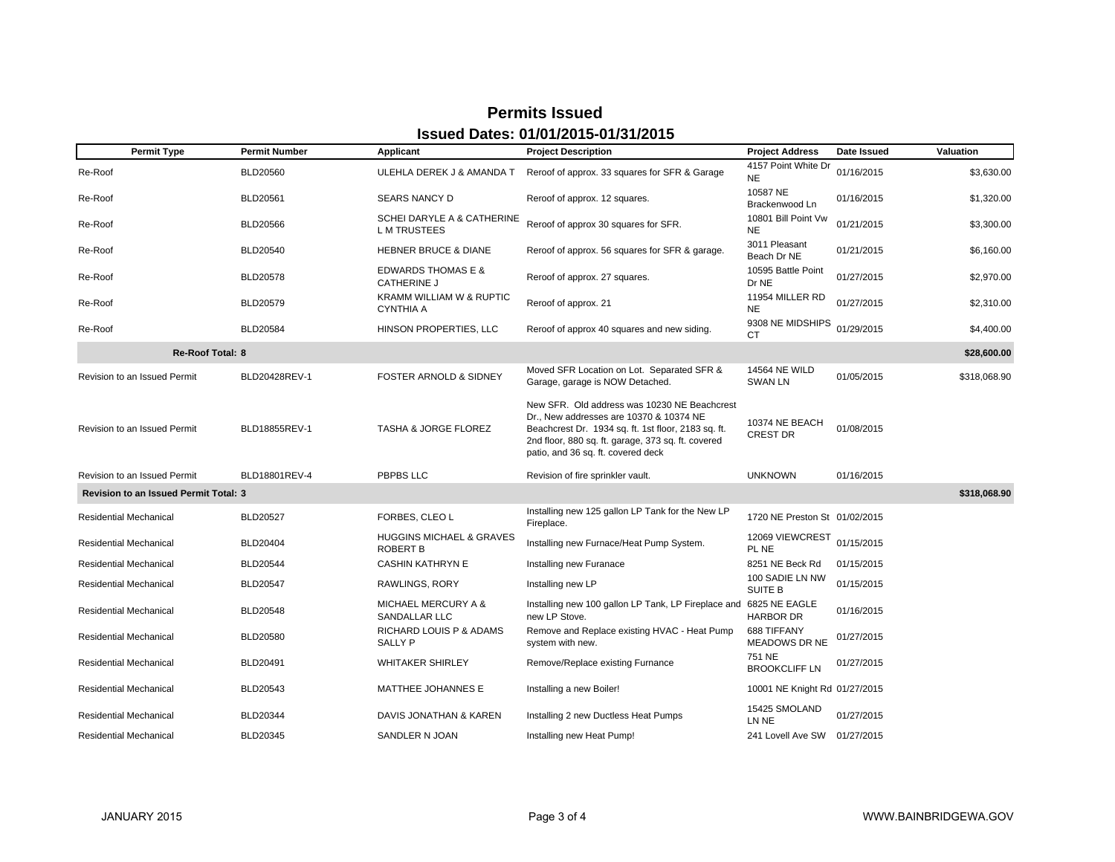| <b>Permit Type</b>                           | <b>Permit Number</b> | Applicant                                           | <b>Project Description</b>                                                                                                                                                                                                                 | <b>Project Address</b>                 | Date Issued | Valuation    |
|----------------------------------------------|----------------------|-----------------------------------------------------|--------------------------------------------------------------------------------------------------------------------------------------------------------------------------------------------------------------------------------------------|----------------------------------------|-------------|--------------|
| Re-Roof                                      | BLD20560             | ULEHLA DEREK J & AMANDA T                           | Reroof of approx. 33 squares for SFR & Garage                                                                                                                                                                                              | 4157 Point White Dr<br><b>NE</b>       | 01/16/2015  | \$3,630.00   |
| Re-Roof                                      | <b>BLD20561</b>      | <b>SEARS NANCY D</b>                                | Reroof of approx. 12 squares.                                                                                                                                                                                                              | 10587 NE<br>Brackenwood Ln             | 01/16/2015  | \$1,320.00   |
| Re-Roof                                      | BLD20566             | SCHEI DARYLE A & CATHERINE<br><b>LM TRUSTEES</b>    | Reroof of approx 30 squares for SFR.                                                                                                                                                                                                       | 10801 Bill Point Vw<br><b>NE</b>       | 01/21/2015  | \$3,300.00   |
| Re-Roof                                      | BLD20540             | <b>HEBNER BRUCE &amp; DIANE</b>                     | Reroof of approx. 56 squares for SFR & garage.                                                                                                                                                                                             | 3011 Pleasant<br>Beach Dr NE           | 01/21/2015  | \$6,160.00   |
| Re-Roof                                      | <b>BLD20578</b>      | <b>EDWARDS THOMAS E &amp;</b><br><b>CATHERINE J</b> | Reroof of approx. 27 squares.                                                                                                                                                                                                              | 10595 Battle Point<br>Dr NE            | 01/27/2015  | \$2,970.00   |
| Re-Roof                                      | BLD20579             | KRAMM WILLIAM W & RUPTIC<br><b>CYNTHIA A</b>        | Reroof of approx. 21                                                                                                                                                                                                                       | 11954 MILLER RD<br><b>NE</b>           | 01/27/2015  | \$2,310.00   |
| Re-Roof                                      | BLD20584             | HINSON PROPERTIES, LLC                              | Reroof of approx 40 squares and new siding.                                                                                                                                                                                                | 9308 NE MIDSHIPS<br>CT                 | 01/29/2015  | \$4,400.00   |
| <b>Re-Roof Total: 8</b>                      |                      |                                                     |                                                                                                                                                                                                                                            |                                        |             | \$28,600.00  |
| Revision to an Issued Permit                 | BLD20428REV-1        | FOSTER ARNOLD & SIDNEY                              | Moved SFR Location on Lot. Separated SFR &<br>Garage, garage is NOW Detached.                                                                                                                                                              | <b>14564 NE WILD</b><br><b>SWAN LN</b> | 01/05/2015  | \$318,068.90 |
| Revision to an Issued Permit                 | BLD18855REV-1        | <b>TASHA &amp; JORGE FLOREZ</b>                     | New SFR. Old address was 10230 NE Beachcrest<br>Dr., New addresses are 10370 & 10374 NE<br>Beachcrest Dr. 1934 sq. ft. 1st floor, 2183 sq. ft.<br>2nd floor, 880 sq. ft. garage, 373 sq. ft. covered<br>patio, and 36 sq. ft. covered deck | 10374 NE BEACH<br><b>CREST DR</b>      | 01/08/2015  |              |
| Revision to an Issued Permit                 | BLD18801REV-4        | PBPBS LLC                                           | Revision of fire sprinkler vault.                                                                                                                                                                                                          | <b>UNKNOWN</b>                         | 01/16/2015  |              |
| <b>Revision to an Issued Permit Total: 3</b> |                      |                                                     |                                                                                                                                                                                                                                            |                                        |             | \$318,068.90 |
| <b>Residential Mechanical</b>                | <b>BLD20527</b>      | FORBES. CLEO L                                      | Installing new 125 gallon LP Tank for the New LP<br>Fireplace.                                                                                                                                                                             | 1720 NE Preston St 01/02/2015          |             |              |
| <b>Residential Mechanical</b>                | BLD20404             | HUGGINS MICHAEL & GRAVES<br><b>ROBERT B</b>         | Installing new Furnace/Heat Pump System.                                                                                                                                                                                                   | 12069 VIEWCREST<br>PL NE               | 01/15/2015  |              |
| <b>Residential Mechanical</b>                | <b>BLD20544</b>      | <b>CASHIN KATHRYN E</b>                             | Installing new Furanace                                                                                                                                                                                                                    | 8251 NE Beck Rd                        | 01/15/2015  |              |
| <b>Residential Mechanical</b>                | <b>BLD20547</b>      | <b>RAWLINGS, RORY</b>                               | Installing new LP                                                                                                                                                                                                                          | 100 SADIE LN NW<br>SUITE B             | 01/15/2015  |              |
| <b>Residential Mechanical</b>                | <b>BLD20548</b>      | <b>MICHAEL MERCURY A &amp;</b><br>SANDALLAR LLC     | Installing new 100 gallon LP Tank, LP Fireplace and<br>new LP Stove.                                                                                                                                                                       | 6825 NE EAGLE<br><b>HARBOR DR</b>      | 01/16/2015  |              |
| <b>Residential Mechanical</b>                | BLD20580             | RICHARD LOUIS P & ADAMS<br><b>SALLY P</b>           | Remove and Replace existing HVAC - Heat Pump<br>system with new.                                                                                                                                                                           | 688 TIFFANY<br><b>MEADOWS DR NE</b>    | 01/27/2015  |              |
| <b>Residential Mechanical</b>                | BLD20491             | <b>WHITAKER SHIRLEY</b>                             | Remove/Replace existing Furnance                                                                                                                                                                                                           | 751 NE<br><b>BROOKCLIFF LN</b>         | 01/27/2015  |              |
| <b>Residential Mechanical</b>                | BLD20543             | MATTHEE JOHANNES E                                  | Installing a new Boiler!                                                                                                                                                                                                                   | 10001 NE Knight Rd 01/27/2015          |             |              |
| <b>Residential Mechanical</b>                | BLD20344             | DAVIS JONATHAN & KAREN                              | Installing 2 new Ductless Heat Pumps                                                                                                                                                                                                       | 15425 SMOLAND<br>LN NE                 | 01/27/2015  |              |
| <b>Residential Mechanical</b>                | BLD20345             | SANDLER N JOAN                                      | Installing new Heat Pump!                                                                                                                                                                                                                  | 241 Lovell Ave SW 01/27/2015           |             |              |

### **Permits IssuedIssued Dates: 01/01/2015-01/31/2015**